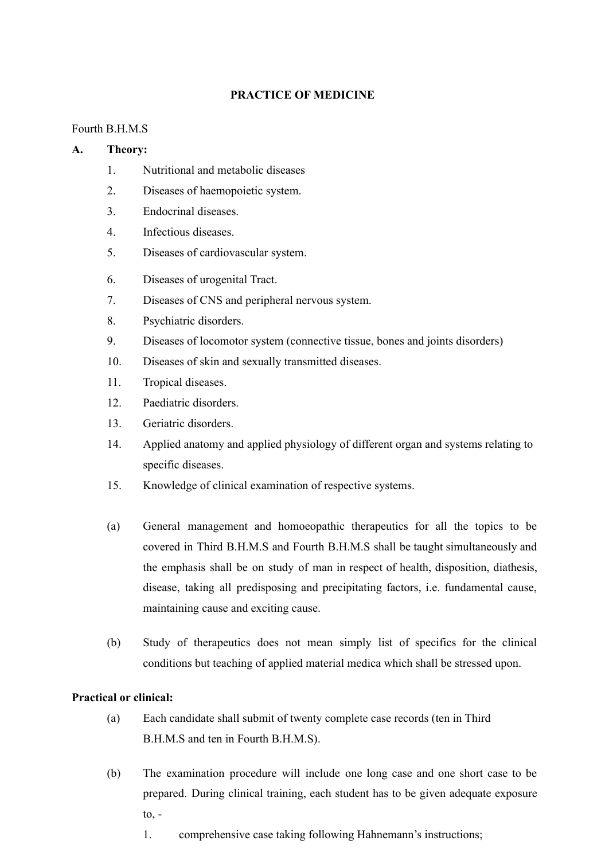#### **PRACTICE OF MEDICINE**

#### Fourth B.H.M.S

#### **A. Theory:**

- 1. Nutritional and metabolic diseases
- 2. Diseases of haemopoietic system.
- 3. Endocrinal diseases.
- 4. Infectious diseases.
- 5. Diseases of cardiovascular system.
- 6. Diseases of urogenital Tract.
- 7. Diseases of CNS and peripheral nervous system.
- 8. Psychiatric disorders.
- 9. Diseases of locomotor system (connective tissue, bones and joints disorders)
- 10. Diseases of skin and sexually transmitted diseases.
- 11. Tropical diseases.
- 12. Paediatric disorders.
- 13. Geriatric disorders.
- 14. Applied anatomy and applied physiology of different organ and systems relating to specific diseases.
- 15. Knowledge of clinical examination of respective systems.
- (a) General management and homoeopathic therapeutics for all the topics to be covered in Third B.H.M.S and Fourth B.H.M.S shall be taught simultaneously and the emphasis shall be on study of man in respect of health, disposition, diathesis, disease, taking all predisposing and precipitating factors, i.e. fundamental cause, maintaining cause and exciting cause.
- (b) Study of therapeutics does not mean simply list of specifics for the clinical conditions but teaching of applied material medica which shall be stressed upon.

#### **Practical or clinical:**

- (a) Each candidate shall submit of twenty complete case records (ten in Third B.H.M.S and ten in Fourth B.H.M.S).
- (b) The examination procedure will include one long case and one short case to be prepared. During clinical training, each student has to be given adequate exposure  $to$ ,  $-$ 
	- 1. comprehensive case taking following Hahnemann's instructions;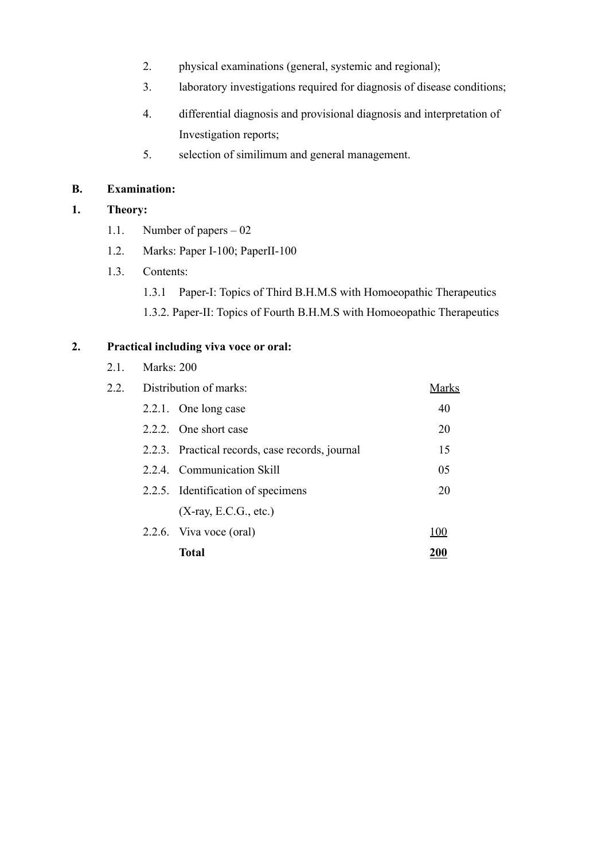- 2. physical examinations (general, systemic and regional);
- 3. laboratory investigations required for diagnosis of disease conditions;
- 4. differential diagnosis and provisional diagnosis and interpretation of Investigation reports;
- 5. selection of similimum and general management.

### **B. Examination:**

# **1. Theory:**

- 1.1. Number of papers 02
- 1.2. Marks: Paper I-100; PaperII-100
- 1.3. Contents:
	- 1.3.1 Paper-I: Topics of Third B.H.M.S with Homoeopathic Therapeutics
	- 1.3.2. Paper-II: Topics of Fourth B.H.M.S with Homoeopathic Therapeutics

| 2.2. | Distribution of marks: |                                                 |     |
|------|------------------------|-------------------------------------------------|-----|
|      |                        | 2.2.1. One long case                            | 40  |
|      |                        | 2.2.2. One short case                           | 20  |
|      |                        | 2.2.3. Practical records, case records, journal | 15  |
|      |                        | 2.2.4. Communication Skill                      | 05  |
|      |                        | 2.2.5. Identification of specimens              | 20  |
|      |                        | $(X-ray, E.C.G., etc.)$                         |     |
|      |                        | 2.2.6. Viva voce (oral)                         | 100 |
|      |                        | Total                                           | 200 |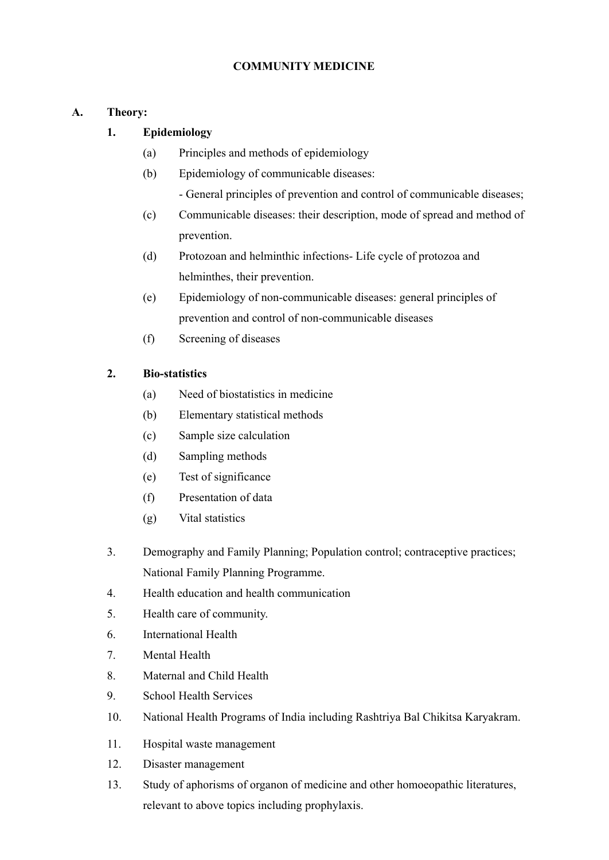## **COMMUNITY MEDICINE**

### **A. Theory:**

## **1. Epidemiology**

- (a) Principles and methods of epidemiology
- (b) Epidemiology of communicable diseases:
	- General principles of prevention and control of communicable diseases;
- (c) Communicable diseases: their description, mode of spread and method of prevention.
- (d) Protozoan and helminthic infections- Life cycle of protozoa and helminthes, their prevention.
- (e) Epidemiology of non-communicable diseases: general principles of prevention and control of non-communicable diseases
- (f) Screening of diseases

### **2. Bio-statistics**

- (a) Need of biostatistics in medicine
- (b) Elementary statistical methods
- (c) Sample size calculation
- (d) Sampling methods
- (e) Test of significance
- (f) Presentation of data
- (g) Vital statistics
- 3. Demography and Family Planning; Population control; contraceptive practices; National Family Planning Programme.
- 4. Health education and health communication
- 5. Health care of community.
- 6. International Health
- 7. Mental Health
- 8. Maternal and Child Health
- 9. School Health Services
- 10. National Health Programs of India including Rashtriya Bal Chikitsa Karyakram.
- 11. Hospital waste management
- 12. Disaster management
- 13. Study of aphorisms of organon of medicine and other homoeopathic literatures, relevant to above topics including prophylaxis.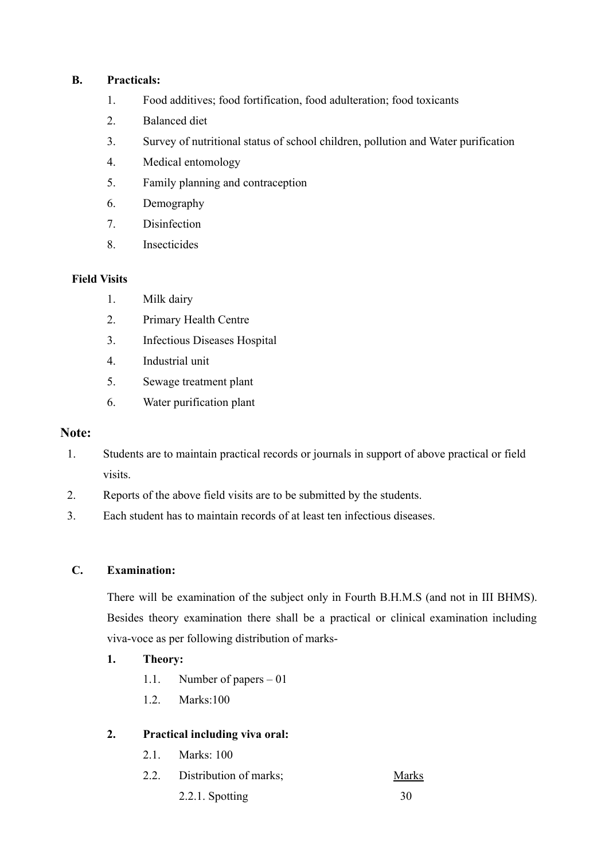#### **B. Practicals:**

- 1. Food additives; food fortification, food adulteration; food toxicants
- 2. Balanced diet
- 3. Survey of nutritional status of school children, pollution and Water purification
- 4. Medical entomology
- 5. Family planning and contraception
- 6. Demography
- 7. Disinfection
- 8. Insecticides

### **Field Visits**

- 1. Milk dairy
- 2. Primary Health Centre
- 3. Infectious Diseases Hospital
- 4. Industrial unit
- 5. Sewage treatment plant
- 6. Water purification plant

#### **Note:**

- 1. Students are to maintain practical records or journals in support of above practical or field visits.
- 2. Reports of the above field visits are to be submitted by the students.
- 3. Each student has to maintain records of at least ten infectious diseases.

### **C. Examination:**

There will be examination of the subject only in Fourth B.H.M.S (and not in III BHMS). Besides theory examination there shall be a practical or clinical examination including viva-voce as per following distribution of marks-

### **1. Theory:**

- 1.1. Number of papers 01
- 1.2. Marks:100

### **2. Practical including viva oral:**

- 2.1. Marks: 100
- 2.2. Distribution of marks; Marks
	- 2.2.1. Spotting 30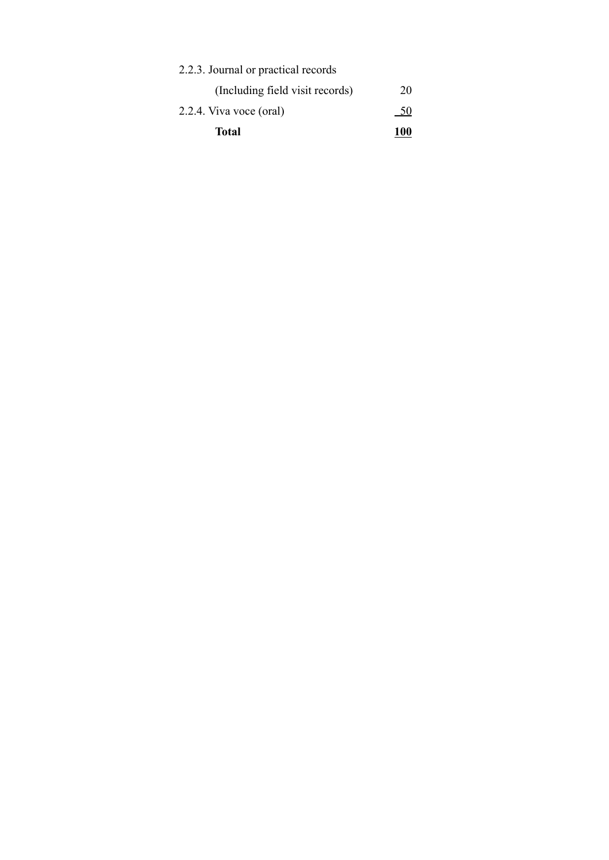| Total                               | <b>100</b> |  |  |
|-------------------------------------|------------|--|--|
| 2.2.4. Viva voce (oral)             | - 50       |  |  |
| (Including field visit records)     | 20         |  |  |
| 2.2.3. Journal or practical records |            |  |  |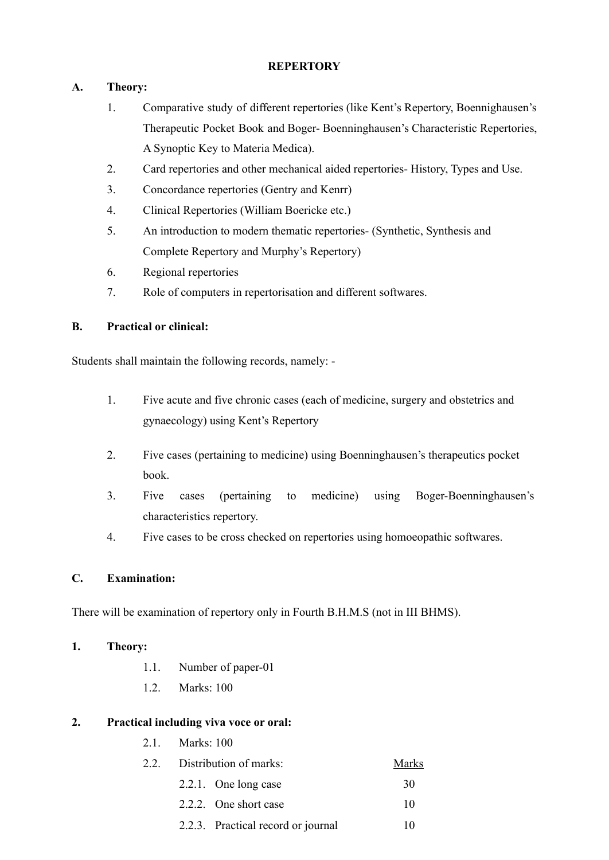#### **REPERTORY**

## **A. Theory:**

- 1. Comparative study of different repertories (like Kent's Repertory, Boennighausen's Therapeutic Pocket Book and Boger- Boenninghausen's Characteristic Repertories, A Synoptic Key to Materia Medica).
- 2. Card repertories and other mechanical aided repertories- History, Types and Use.
- 3. Concordance repertories (Gentry and Kenrr)
- 4. Clinical Repertories (William Boericke etc.)
- 5. An introduction to modern thematic repertories- (Synthetic, Synthesis and Complete Repertory and Murphy's Repertory)
- 6. Regional repertories
- 7. Role of computers in repertorisation and different softwares.

## **B. Practical or clinical:**

Students shall maintain the following records, namely: -

- 1. Five acute and five chronic cases (each of medicine, surgery and obstetrics and gynaecology) using Kent's Repertory
- 2. Five cases (pertaining to medicine) using Boenninghausen's therapeutics pocket book.
- 3. Five cases (pertaining to medicine) using Boger-Boenninghausen's characteristics repertory.
- 4. Five cases to be cross checked on repertories using homoeopathic softwares.

### **C. Examination:**

There will be examination of repertory only in Fourth B.H.M.S (not in III BHMS).

### **1. Theory:**

- 1.1. Number of paper-01
- 1.2. Marks: 100

- 2.1. Marks: 100
- 2.2. Distribution of marks: Marks
	- 2.2.1. One long case 30 2.2.2. One short case 10
		- 2.2.3. Practical record or journal 10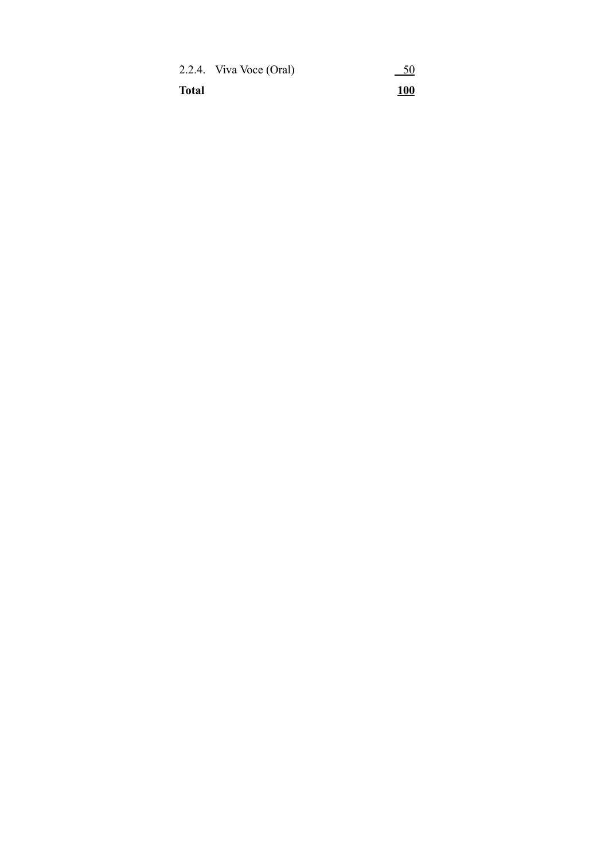|              | 2.2.4. Viva Voce (Oral) | 50          |
|--------------|-------------------------|-------------|
| <b>Total</b> |                         | <u> 100</u> |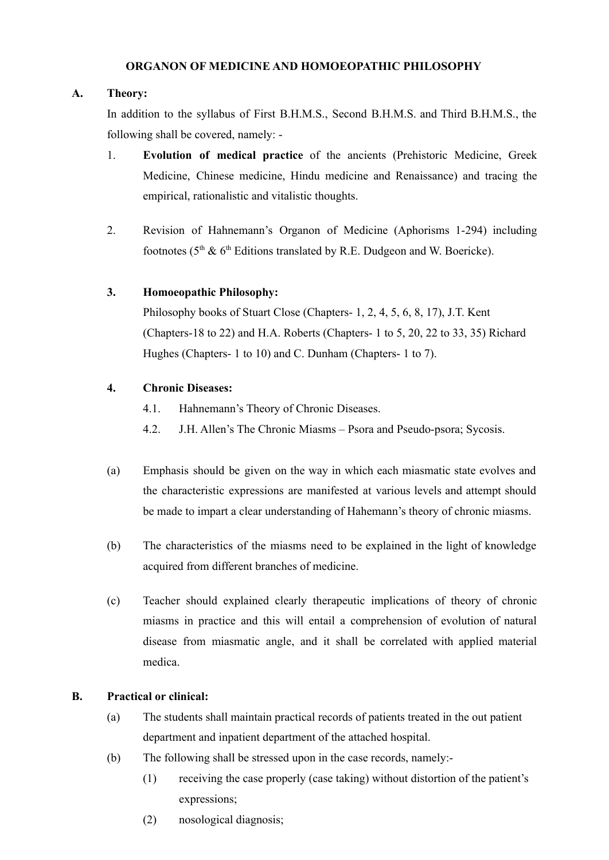#### **ORGANON OF MEDICINE AND HOMOEOPATHIC PHILOSOPHY**

#### **A. Theory:**

In addition to the syllabus of First B.H.M.S., Second B.H.M.S. and Third B.H.M.S., the following shall be covered, namely: -

- 1. **Evolution of medical practice** of the ancients (Prehistoric Medicine, Greek Medicine, Chinese medicine, Hindu medicine and Renaissance) and tracing the empirical, rationalistic and vitalistic thoughts.
- 2. Revision of Hahnemann's Organon of Medicine (Aphorisms 1-294) including footnotes ( $5<sup>th</sup>$  &  $6<sup>th</sup>$  Editions translated by R.E. Dudgeon and W. Boericke).

#### **3. Homoeopathic Philosophy:**

Philosophy books of Stuart Close (Chapters- 1, 2, 4, 5, 6, 8, 17), J.T. Kent (Chapters-18 to 22) and H.A. Roberts (Chapters- 1 to 5, 20, 22 to 33, 35) Richard Hughes (Chapters- 1 to 10) and C. Dunham (Chapters- 1 to 7).

#### **4. Chronic Diseases:**

- 4.1. Hahnemann's Theory of Chronic Diseases.
- 4.2. J.H. Allen's The Chronic Miasms Psora and Pseudo-psora; Sycosis.
- (a) Emphasis should be given on the way in which each miasmatic state evolves and the characteristic expressions are manifested at various levels and attempt should be made to impart a clear understanding of Hahemann's theory of chronic miasms.
- (b) The characteristics of the miasms need to be explained in the light of knowledge acquired from different branches of medicine.
- (c) Teacher should explained clearly therapeutic implications of theory of chronic miasms in practice and this will entail a comprehension of evolution of natural disease from miasmatic angle, and it shall be correlated with applied material medica.

### **B. Practical or clinical:**

- (a) The students shall maintain practical records of patients treated in the out patient department and inpatient department of the attached hospital.
- (b) The following shall be stressed upon in the case records, namely:-
	- (1) receiving the case properly (case taking) without distortion of the patient's expressions;
	- (2) nosological diagnosis;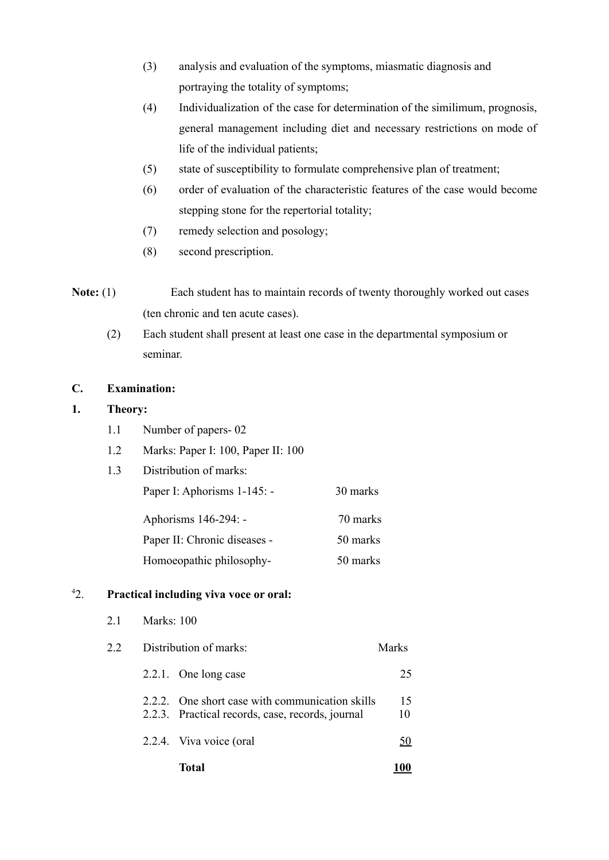- (3) analysis and evaluation of the symptoms, miasmatic diagnosis and portraying the totality of symptoms;
- (4) Individualization of the case for determination of the similimum, prognosis, general management including diet and necessary restrictions on mode of life of the individual patients;
- (5) state of susceptibility to formulate comprehensive plan of treatment;
- (6) order of evaluation of the characteristic features of the case would become stepping stone for the repertorial totality;
- (7) remedy selection and posology;
- (8) second prescription.
- **Note:** (1) Each student has to maintain records of twenty thoroughly worked out cases (ten chronic and ten acute cases).
	- (2) Each student shall present at least one case in the departmental symposium or seminar.

#### **C. Examination:**

## **1. Theory:**

- 1.1 Number of papers- 02
- 1.2 Marks: Paper I: 100, Paper II: 100
- 1.3 Distribution of marks: Paper I: Aphorisms 1-145: - 30 marks Aphorisms 146-294: - 70 marks Paper II: Chronic diseases - 50 marks Homoeopathic philosophy- 50 marks

|    |                        | Total                                                                                               |          |
|----|------------------------|-----------------------------------------------------------------------------------------------------|----------|
|    |                        | 2.2.4. Viva voice (oral                                                                             | 50       |
|    |                        | 2.2.2. One short case with communication skills<br>2.2.3. Practical records, case, records, journal | 15<br>10 |
|    |                        | 2.2.1. One long case                                                                                | 25       |
| 22 | Distribution of marks: |                                                                                                     |          |
| 21 | Marks: $100$           |                                                                                                     |          |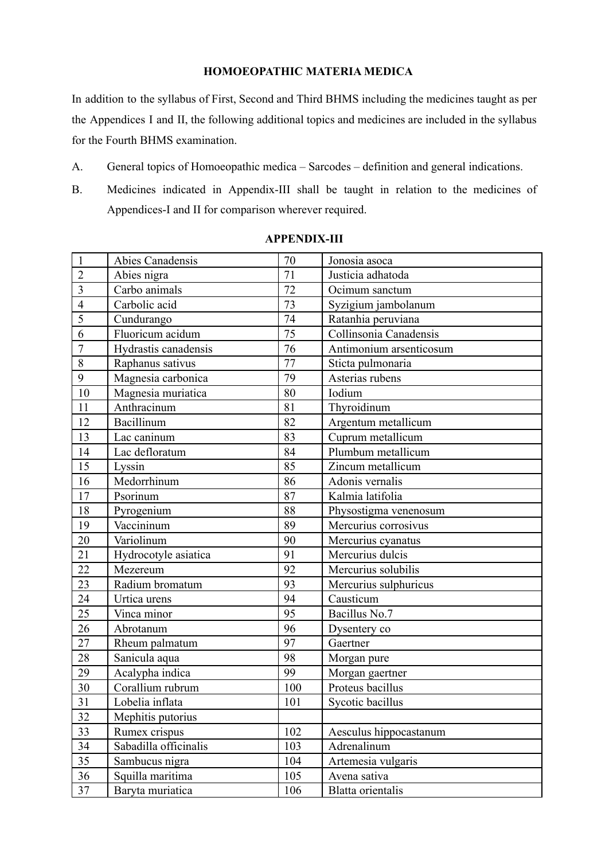#### **HOMOEOPATHIC MATERIA MEDICA**

In addition to the syllabus of First, Second and Third BHMS including the medicines taught as per the Appendices I and II, the following additional topics and medicines are included in the syllabus for the Fourth BHMS examination.

- A. General topics of Homoeopathic medica Sarcodes definition and general indications.
- B. Medicines indicated in Appendix-III shall be taught in relation to the medicines of Appendices-I and II for comparison wherever required.

| $\mathbf{1}$   | Abies Canadensis      | 70              | Jonosia asoca                           |
|----------------|-----------------------|-----------------|-----------------------------------------|
| $\overline{2}$ | Abies nigra           | 71              | Justicia adhatoda                       |
| $\overline{3}$ | Carbo animals         | $\overline{72}$ | Ocimum sanctum                          |
| $\overline{4}$ | Carbolic acid         | 73              | Syzigium jambolanum                     |
| $\overline{5}$ | Cundurango            | 74              | Ratanhia peruviana                      |
| 6              | Fluoricum acidum      | $\overline{75}$ | Collinsonia Canadensis                  |
| $\overline{7}$ | Hydrastis canadensis  | 76              | Antimonium arsenticosum                 |
| 8              | Raphanus sativus      | 77              | Sticta pulmonaria                       |
| 9              | Magnesia carbonica    | 79              | Asterias rubens                         |
| 10             | Magnesia muriatica    | 80              | Iodium                                  |
| 11             | Anthracinum           | 81              | Thyroidinum                             |
| 12             | Bacillinum            | 82              | Argentum metallicum                     |
| 13             | Lac caninum           | 83              | Cuprum metallicum                       |
| 14             | Lac defloratum        | 84              | Plumbum metallicum                      |
| 15             | Lyssin                | 85              | Zincum metallicum                       |
| 16             | Medorrhinum           | 86              | Adonis vernalis                         |
| 17             | Psorinum              | 87              | Kalmia latifolia                        |
| 18             | Pyrogenium            | 88              | Physostigma venenosum                   |
| 19             | Vaccininum            | 89              | Mercurius corrosivus                    |
| 20             | Variolinum            | 90              | Mercurius cyanatus                      |
| 21             | Hydrocotyle asiatica  | 91              | Mercurius dulcis                        |
| 22             | Mezereum              | 92              | $\overline{\text{Mercurius}}$ solubilis |
| 23             | Radium bromatum       | 93              | Mercurius sulphuricus                   |
| 24             | Urtica urens          | 94              | Causticum                               |
| 25             | Vinca minor           | 95              | Bacillus No.7                           |
| 26             | Abrotanum             | 96              | Dysentery co                            |
| 27             | Rheum palmatum        | 97              | Gaertner                                |
| 28             | Sanicula aqua         | 98              | Morgan pure                             |
| 29             | Acalypha indica       | 99              | Morgan gaertner                         |
| 30             | Corallium rubrum      | 100             | Proteus bacillus                        |
| 31             | Lobelia inflata       | 101             | Sycotic bacillus                        |
| 32             | Mephitis putorius     |                 |                                         |
| 33             | Rumex crispus         | 102             | Aesculus hippocastanum                  |
| 34             | Sabadilla officinalis | 103             | Adrenalinum                             |
| 35             | Sambucus nigra        | 104             | Artemesia vulgaris                      |
| 36             | Squilla maritima      | 105             | Avena sativa                            |
| 37             | Baryta muriatica      | 106             | Blatta orientalis                       |

#### **APPENDIX-III**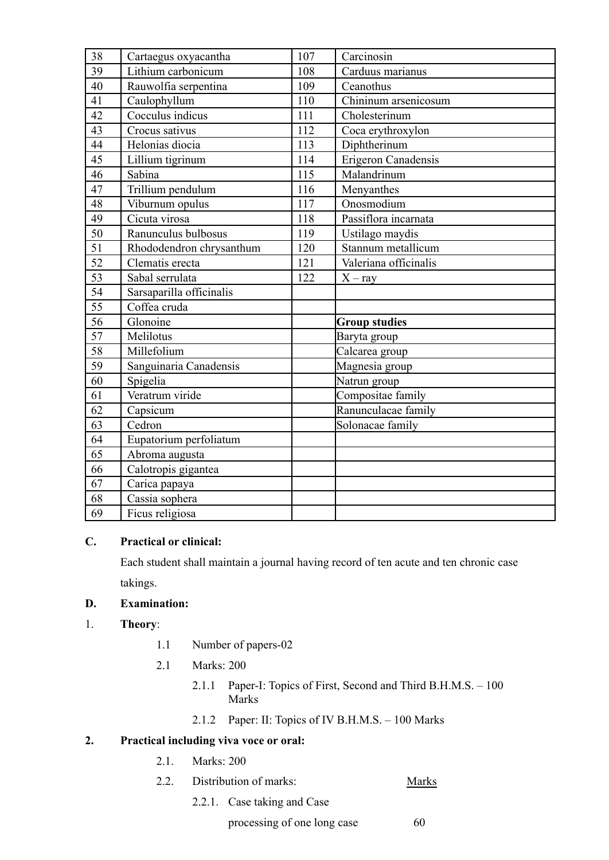| 38              | Cartaegus oxyacantha     | 107 | Carcinosin            |
|-----------------|--------------------------|-----|-----------------------|
| 39              | Lithium carbonicum       | 108 | Carduus marianus      |
| 40              | Rauwolfia serpentina     | 109 | Ceanothus             |
| 41              | Caulophyllum             | 110 | Chininum arsenicosum  |
| 42              | Cocculus indicus         | 111 | Cholesterinum         |
| 43              | Crocus sativus           | 112 | Coca erythroxylon     |
| 44              | Helonias diocia          | 113 | Diphtherinum          |
| 45              | Lillium tigrinum         | 114 | Erigeron Canadensis   |
| 46              | Sabina                   | 115 | Malandrinum           |
| 47              | Trillium pendulum        | 116 | Menyanthes            |
| 48              | Viburnum opulus          | 117 | Onosmodium            |
| 49              | Cicuta virosa            | 118 | Passiflora incarnata  |
| 50              | Ranunculus bulbosus      | 119 | Ustilago maydis       |
| 51              | Rhododendron chrysanthum | 120 | Stannum metallicum    |
| 52              | Clematis erecta          | 121 | Valeriana officinalis |
| 53              | Sabal serrulata          | 122 | $X - ray$             |
| 54              | Sarsaparilla officinalis |     |                       |
| $\overline{55}$ | Coffea cruda             |     |                       |
| 56              | Glonoine                 |     | <b>Group studies</b>  |
| 57              | Melilotus                |     | Baryta group          |
| 58              | Millefolium              |     | Calcarea group        |
| 59              | Sanguinaria Canadensis   |     | Magnesia group        |
| 60              | Spigelia                 |     | Natrun group          |
| 61              | Veratrum viride          |     | Compositae family     |
| 62              | Capsicum                 |     | Ranunculacae family   |
| 63              | Cedron                   |     | Solonacae family      |
| 64              | Eupatorium perfoliatum   |     |                       |
| 65              | Abroma augusta           |     |                       |
| 66              | Calotropis gigantea      |     |                       |
| 67              | Carica papaya            |     |                       |
| 68              | Cassia sophera           |     |                       |
| 69              | Ficus religiosa          |     |                       |

### **C. Practical or clinical:**

Each student shall maintain a journal having record of ten acute and ten chronic case takings.

### **D. Examination:**

### 1. **Theory**:

- 1.1 Number of papers-02
- 2.1 Marks: 200
	- 2.1.1 Paper-I: Topics of First, Second and Third B.H.M.S. 100 Marks
	- 2.1.2 Paper: II: Topics of IV B.H.M.S. 100 Marks

- 2.1. Marks: 200
- 2.2. Distribution of marks: Marks
	- 2.2.1. Case taking and Case
		- processing of one long case 60